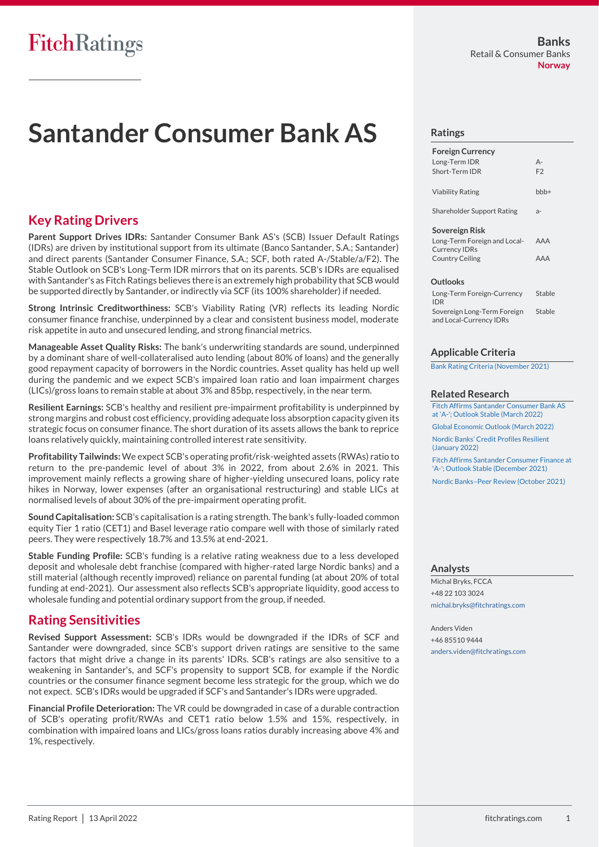# **Santander Consumer Bank AS**

# **Key Rating Drivers**

**Parent Support Drives IDRs:** Santander Consumer Bank AS's (SCB) Issuer Default Ratings (IDRs) are driven by institutional support from its ultimate (Banco Santander, S.A.; Santander) and direct parents (Santander Consumer Finance, S.A.; SCF, both rated A-/Stable/a/F2). The Stable Outlook on SCB's Long-Term IDR mirrors that on its parents. SCB's IDRs are equalised with Santander's as Fitch Ratings believes there is an extremely high probability that SCB would be supported directly by Santander, or indirectly via SCF (its 100% shareholder) if needed.

**Strong Intrinsic Creditworthiness:** SCB's Viability Rating (VR) reflects its leading Nordic consumer finance franchise, underpinned by a clear and consistent business model, moderate risk appetite in auto and unsecured lending, and strong financial metrics.

**Manageable Asset Quality Risks:** The bank's underwriting standards are sound, underpinned by a dominant share of well-collateralised auto lending (about 80% of loans) and the generally good repayment capacity of borrowers in the Nordic countries. Asset quality has held up well during the pandemic and we expect SCB's impaired loan ratio and loan impairment charges (LICs)/gross loans to remain stable at about 3% and 85bp, respectively, in the near term.

**Resilient Earnings:** SCB's healthy and resilient pre-impairment profitability is underpinned by strong margins and robust cost efficiency, providing adequate loss absorption capacity given its strategic focus on consumer finance. The short duration of its assets allows the bank to reprice loans relatively quickly, maintaining controlled interest rate sensitivity.

**Profitability Tailwinds:** We expect SCB's operating profit/risk-weighted assets (RWAs) ratio to return to the pre-pandemic level of about 3% in 2022, from about 2.6% in 2021. This improvement mainly reflects a growing share of higher-yielding unsecured loans, policy rate hikes in Norway, lower expenses (after an organisational restructuring) and stable LICs at normalised levels of about 30% of the pre-impairment operating profit.

**Sound Capitalisation:** SCB's capitalisation is a rating strength. The bank's fully-loaded common equity Tier 1 ratio (CET1) and Basel leverage ratio compare well with those of similarly rated peers. They were respectively 18.7% and 13.5% at end-2021.

**Stable Funding Profile:** SCB's funding is a relative rating weakness due to a less developed deposit and wholesale debt franchise (compared with higher-rated large Nordic banks) and a still material (although recently improved) reliance on parental funding (at about 20% of total funding at end-2021). Our assessment also reflects SCB's appropriate liquidity, good access to wholesale funding and potential ordinary support from the group, if needed.

# **Rating Sensitivities**

**Revised Support Assessment:** SCB's IDRs would be downgraded if the IDRs of SCF and Santander were downgraded, since SCB's support driven ratings are sensitive to the same factors that might drive a change in its parents' IDRs. SCB's ratings are also sensitive to a weakening in Santander's, and SCF's propensity to support SCB, for example if the Nordic countries or the consumer finance segment become less strategic for the group, which we do not expect. SCB's IDRs would be upgraded if SCF's and Santander's IDRs were upgraded.

**Financial Profile Deterioration:** The VR could be downgraded in case of a durable contraction of SCB's operating profit/RWAs and CET1 ratio below 1.5% and 15%, respectively, in combination with impaired loans and LICs/gross loans ratios durably increasing above 4% and 1%, respectively.

#### **Ratings**

| <b>Foreign Currency</b>                              |                |
|------------------------------------------------------|----------------|
| Long-Term IDR                                        | $A -$          |
| Short-Term IDR                                       | F <sub>2</sub> |
| <b>Viability Rating</b>                              | $bbb +$        |
| <b>Shareholder Support Rating</b>                    | $a-$           |
| Sovereign Risk                                       |                |
| Long-Term Foreign and Local-<br><b>Currency IDRs</b> | AAA            |
| <b>Country Ceiling</b>                               | AAA            |
| <b>Outlooks</b>                                      |                |
| Long-Term Foreign-Currency                           | Stable         |

| LUIR TUITIIT UI CIRII CUITUILE, | $-$    |
|---------------------------------|--------|
| <b>IDR</b>                      |        |
| Sovereign Long-Term Foreign     | Stable |
| and Local-Currency IDRs         |        |
|                                 |        |

#### **Applicable Criteria**

[Bank Rating Criteria \(November 2021\)](https://www.fitchratings.com/site/re/10182112)

#### **Related Research**

[Fitch Affirms Santander Consumer Bank AS](https://www.fitchratings.com/research/banks/fitch-affirms-santander-consumer-bank-as-at-a-outlook-stable-25-03-2022)  [at 'A-'; Outlook Stable \(March 2022\)](https://www.fitchratings.com/research/banks/fitch-affirms-santander-consumer-bank-as-at-a-outlook-stable-25-03-2022)

[Global Economic Outlook \(March 2022\)](https://www.fitchratings.com/research/sovereigns/global-economic-outlook-march-2022-21-03-2022)

[Nordic Banks' Credit Profiles Resilient](https://www.fitchratings.com/research/banks/nordic-banks-credit-profiles-resilient-25-01-2022)  [\(January 2022\)](https://www.fitchratings.com/research/banks/nordic-banks-credit-profiles-resilient-25-01-2022)

[Fitch Affirms Santander Consumer Finance at](https://www.fitchratings.com/research/banks/fitch-affirms-santander-consumer-finance-at-a-outlook-stable-02-12-2021)  ['A-'; Outlook Stable \(December 2021\)](https://www.fitchratings.com/research/banks/fitch-affirms-santander-consumer-finance-at-a-outlook-stable-02-12-2021)

Nordic Banks–[Peer Review \(October 2021\)](https://www.fitchratings.com/research/banks/nordic-banks-peer-review-18-10-2021)

#### **Analysts**

Michal Bryks, FCCA +48 22 103 3024 [michal.bryks@fitchratings.com](mailto:michal.bryks@fitchratings.com)

Anders Viden +46 85510 9444 [anders.viden@fitchratings.com](mailto:anders.viden@fitchratings.com)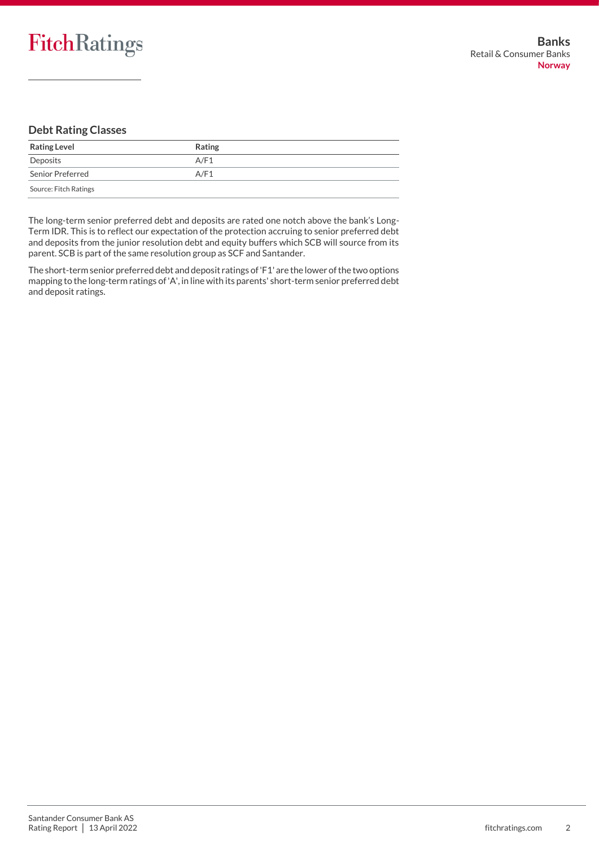# **Debt Rating Classes**

| <b>Rating Level</b>   | Rating |
|-----------------------|--------|
| Deposits              | A/F1   |
| Senior Preferred      | A/F1   |
| Source: Fitch Ratings |        |

The long-term senior preferred debt and deposits are rated one notch above the bank's Long-Term IDR. This is to reflect our expectation of the protection accruing to senior preferred debt and deposits from the junior resolution debt and equity buffers which SCB will source from its parent. SCB is part of the same resolution group as SCF and Santander.

The short-term senior preferred debt and deposit ratings of 'F1' are the lower of the two options mapping to the long-term ratings of 'A', in line with its parents' short-term senior preferred debt and deposit ratings.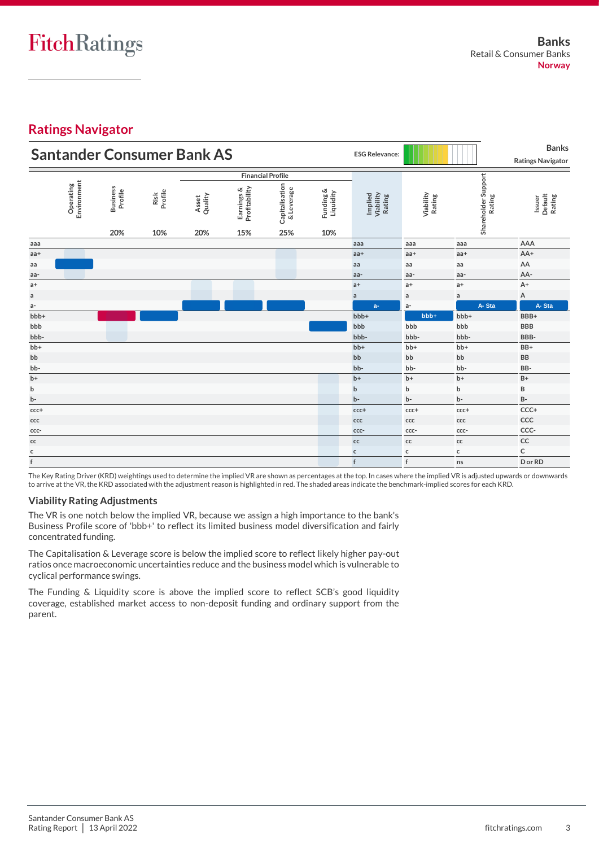# **Ratings Navigator**

| <b>Santander Consumer Bank AS</b> |                          |                                   |                        |                         |                                    | <b>ESG Relevance:</b>               |                               |                                       | <b>Banks</b><br><b>Ratings Navigator</b> |                               |                                                                                                                                                                             |
|-----------------------------------|--------------------------|-----------------------------------|------------------------|-------------------------|------------------------------------|-------------------------------------|-------------------------------|---------------------------------------|------------------------------------------|-------------------------------|-----------------------------------------------------------------------------------------------------------------------------------------------------------------------------|
|                                   | <b>Financial Profile</b> |                                   |                        |                         |                                    |                                     |                               |                                       |                                          |                               |                                                                                                                                                                             |
|                                   | Environment<br>Operating | <b>Business</b><br>Profile<br>20% | Profile<br>Risk<br>10% | Asset<br>Quality<br>20% | Earnings &<br>Profitability<br>15% | Capitalisation<br>& Leverage<br>25% | Funding &<br>Liquidity<br>10% | Implied<br>Viability<br><b>Rating</b> | Viability<br>Rating                      | Shareholder Support<br>Rating | Default<br>Rating<br>Issuer                                                                                                                                                 |
| aaa                               |                          |                                   |                        |                         |                                    |                                     |                               | aaa                                   | aaa                                      | aaa                           | AAA                                                                                                                                                                         |
| aa+                               |                          |                                   |                        |                         |                                    |                                     |                               | $aa+$                                 | aa+                                      | aa+                           | AA+                                                                                                                                                                         |
| aa                                |                          |                                   |                        |                         |                                    |                                     |                               | aa                                    | aa                                       | aa                            | AA                                                                                                                                                                          |
| aa-                               |                          |                                   |                        |                         |                                    |                                     |                               | aa-                                   | aa-                                      | aa-                           | AA-                                                                                                                                                                         |
| $a+$                              |                          |                                   |                        |                         |                                    |                                     |                               | $a+$                                  | $a+$                                     | $a+$                          | $A+$                                                                                                                                                                        |
| $\mathsf{a}$                      |                          |                                   |                        |                         |                                    |                                     |                               | $\mathsf{a}$                          | $\mathsf{a}$                             | $\mathsf{a}$                  | А                                                                                                                                                                           |
| $a-$                              |                          |                                   |                        |                         |                                    |                                     |                               | $a-$                                  | a-                                       | A-Sta                         | A-Sta                                                                                                                                                                       |
| $bbb +$                           |                          |                                   |                        |                         |                                    |                                     |                               | $bbb +$                               | bbb+                                     | bbb+                          | BBB+                                                                                                                                                                        |
| bbb                               |                          |                                   |                        |                         |                                    |                                     |                               | bbb                                   | bbb                                      | bbb                           | <b>BBB</b>                                                                                                                                                                  |
| bbb-                              |                          |                                   |                        |                         |                                    |                                     |                               | bbb-                                  | bbb-                                     | bbb-                          | BBB-                                                                                                                                                                        |
| bb+                               |                          |                                   |                        |                         |                                    |                                     |                               | $bb+$                                 | bb+                                      | bb+                           | BB+                                                                                                                                                                         |
| bb                                |                          |                                   |                        |                         |                                    |                                     |                               | bb                                    | bb                                       | bb                            | <b>BB</b>                                                                                                                                                                   |
| bb-                               |                          |                                   |                        |                         |                                    |                                     |                               | bb-                                   | bb-                                      | bb-                           | BB-                                                                                                                                                                         |
| $b+$                              |                          |                                   |                        |                         |                                    |                                     |                               | $b+$                                  | $b+$                                     | $b+$                          | $B+$                                                                                                                                                                        |
| b                                 |                          |                                   |                        |                         |                                    |                                     |                               | $\mathbf b$                           | b                                        | $\mathsf b$                   | B                                                                                                                                                                           |
| $b -$                             |                          |                                   |                        |                         |                                    |                                     |                               | b-                                    | b-                                       | b-                            | <b>B-</b>                                                                                                                                                                   |
| $ccc$ +                           |                          |                                   |                        |                         |                                    |                                     |                               | $ccc$ +                               | ccc+                                     | ccc+                          | CCC+                                                                                                                                                                        |
| ccc                               |                          |                                   |                        |                         |                                    |                                     |                               | ccc                                   | CCC                                      | ccc                           | CCC                                                                                                                                                                         |
| CCC-                              |                          |                                   |                        |                         |                                    |                                     |                               | CCC-                                  | CCC-                                     | CCC-                          | CCC-                                                                                                                                                                        |
| $\mathsf{cc}$                     |                          |                                   |                        |                         |                                    |                                     |                               | $\mathsf{cc}$                         | $\mathsf{cc}$                            | $\mathsf{cc}$                 | CC                                                                                                                                                                          |
| с                                 |                          |                                   |                        |                         |                                    |                                     |                               | $\mathsf{c}$                          | с                                        | c                             | $\mathsf{C}$                                                                                                                                                                |
| f                                 |                          |                                   |                        |                         |                                    |                                     |                               | f                                     | $\mathsf f$                              | ns                            | D or RD                                                                                                                                                                     |
|                                   |                          |                                   |                        |                         |                                    |                                     |                               |                                       |                                          |                               | The Key Rating Driver (KRD) weightings used to determine the implied VR are shown as percentages at the top. In cases where the implied VR is adjusted upwards or downwards |

The Key Rating Driver (KRD) weightings used to determine the implied VR are shown as percentages at the top. In cases where the implied VR is adjusted upwards or downwards to arrive at the VR, the KRD associated with the adjustment reason is highlighted in red. The shaded areas indicate the benchmark-implied scores for each KRD.

# **Viability Rating Adjustments**

The VR is one notch below the implied VR, because we assign a high importance to the bank's Business Profile score of 'bbb+' to reflect its limited business model diversification and fairly concentrated funding.

The Capitalisation & Leverage score is below the implied score to reflect likely higher pay-out ratios once macroeconomic uncertainties reduce and the business model which is vulnerable to cyclical performance swings.

The Funding & Liquidity score is above the implied score to reflect SCB's good liquidity coverage, established market access to non-deposit funding and ordinary support from the parent.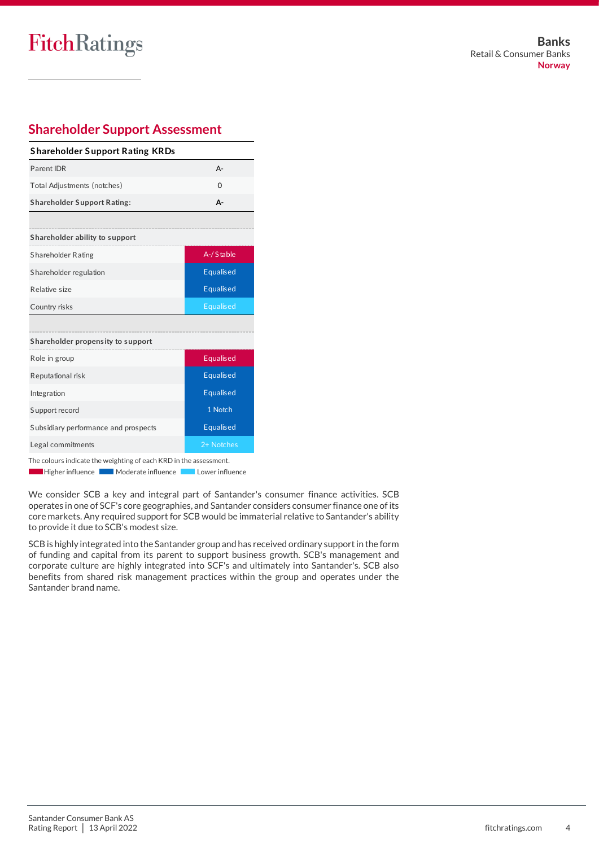# FitchRatings

|                                        | <b>Shareholder Support Assessment</b> |  |  |  |  |  |  |
|----------------------------------------|---------------------------------------|--|--|--|--|--|--|
| <b>Shareholder Support Rating KRDs</b> |                                       |  |  |  |  |  |  |
| Parent IDR                             | $A -$                                 |  |  |  |  |  |  |
| Total Adjustments (notches)            | $\Omega$                              |  |  |  |  |  |  |
| <b>Shareholder Support Rating:</b>     | А-                                    |  |  |  |  |  |  |
|                                        |                                       |  |  |  |  |  |  |
| Shareholder ability to support         |                                       |  |  |  |  |  |  |
| Shareholder Rating                     | A-/Stable                             |  |  |  |  |  |  |
| Shareholder regulation                 | <b>Equalised</b>                      |  |  |  |  |  |  |
| Relative size                          | <b>Equalised</b>                      |  |  |  |  |  |  |
| Country risks                          | <b>Equalised</b>                      |  |  |  |  |  |  |
|                                        |                                       |  |  |  |  |  |  |
| Shareholder propensity to support      |                                       |  |  |  |  |  |  |
| Role in group                          | Equalised                             |  |  |  |  |  |  |
| Reputational risk                      | <b>Equalised</b>                      |  |  |  |  |  |  |
| Integration                            | <b>Equalised</b>                      |  |  |  |  |  |  |
| Support record                         | 1 Notch                               |  |  |  |  |  |  |
| Subsidiary performance and prospects   | <b>Equalised</b>                      |  |  |  |  |  |  |
| Legal commitments                      | 2+ Notches                            |  |  |  |  |  |  |

The colours indicate the weighting of each KRD in the assessment.

Higher influence Moderate influence **Moderate influence** 

We consider SCB a key and integral part of Santander's consumer finance activities. SCB operates in one of SCF's core geographies, and Santander considers consumer finance one of its core markets. Any required support for SCB would be immaterial relative to Santander's ability to provide it due to SCB's modest size.

SCB is highly integrated into the Santander group and has received ordinary support in the form of funding and capital from its parent to support business growth. SCB's management and corporate culture are highly integrated into SCF's and ultimately into Santander's. SCB also benefits from shared risk management practices within the group and operates under the Santander brand name.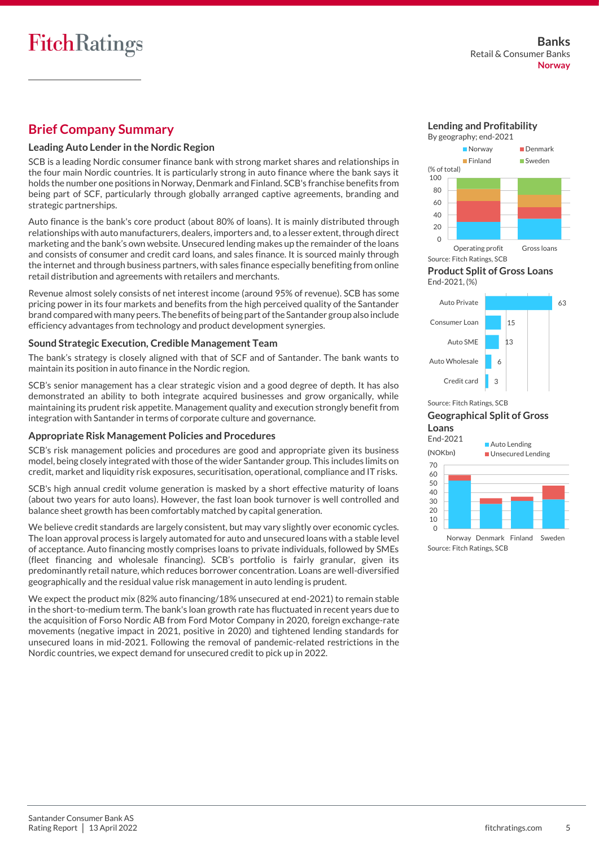# **Brief Company Summary**

# **Leading Auto Lender in the Nordic Region**

SCB is a leading Nordic consumer finance bank with strong market shares and relationships in the four main Nordic countries. It is particularly strong in auto finance where the bank says it holds the number one positions in Norway, Denmark and Finland. SCB's franchise benefits from being part of SCF, particularly through globally arranged captive agreements, branding and strategic partnerships.

Auto finance is the bank's core product (about 80% of loans). It is mainly distributed through relationships with auto manufacturers, dealers, importers and, to a lesser extent, through direct marketing and the bank's own website. Unsecured lending makes up the remainder of the loans and consists of consumer and credit card loans, and sales finance. It is sourced mainly through the internet and through business partners, with sales finance especially benefiting from online retail distribution and agreements with retailers and merchants.

Revenue almost solely consists of net interest income (around 95% of revenue). SCB has some pricing power in its four markets and benefits from the high perceived quality of the Santander brand compared with many peers. The benefits of being part of the Santander group also include efficiency advantages from technology and product development synergies.

## **Sound Strategic Execution, Credible Management Team**

The bank's strategy is closely aligned with that of SCF and of Santander. The bank wants to maintain its position in auto finance in the Nordic region.

SCB's senior management has a clear strategic vision and a good degree of depth. It has also demonstrated an ability to both integrate acquired businesses and grow organically, while maintaining its prudent risk appetite. Management quality and execution strongly benefit from integration with Santander in terms of corporate culture and governance.

## **Appropriate Risk Management Policies and Procedures**

SCB's risk management policies and procedures are good and appropriate given its business model, being closely integrated with those of the wider Santander group. This includes limits on credit, market and liquidity risk exposures, securitisation, operational, compliance and IT risks.

SCB's high annual credit volume generation is masked by a short effective maturity of loans (about two years for auto loans). However, the fast loan book turnover is well controlled and balance sheet growth has been comfortably matched by capital generation.

We believe credit standards are largely consistent, but may vary slightly over economic cycles. The loan approval process is largely automated for auto and unsecured loans with a stable level of acceptance. Auto financing mostly comprises loans to private individuals, followed by SMEs (fleet financing and wholesale financing). SCB's portfolio is fairly granular, given its predominantly retail nature, which reduces borrower concentration. Loans are well-diversified geographically and the residual value risk management in auto lending is prudent.

We expect the product mix (82% auto financing/18% unsecured at end-2021) to remain stable in the short-to-medium term. The bank's loan growth rate has fluctuated in recent years due to the acquisition of Forso Nordic AB from Ford Motor Company in 2020, foreign exchange-rate movements (negative impact in 2021, positive in 2020) and tightened lending standards for unsecured loans in mid-2021. Following the removal of pandemic-related restrictions in the Nordic countries, we expect demand for unsecured credit to pick up in 2022.

**Lending and Profitability** By geography; end-2021







Source: Fitch Ratings, SCB

### **Geographical Split of Gross Loans**



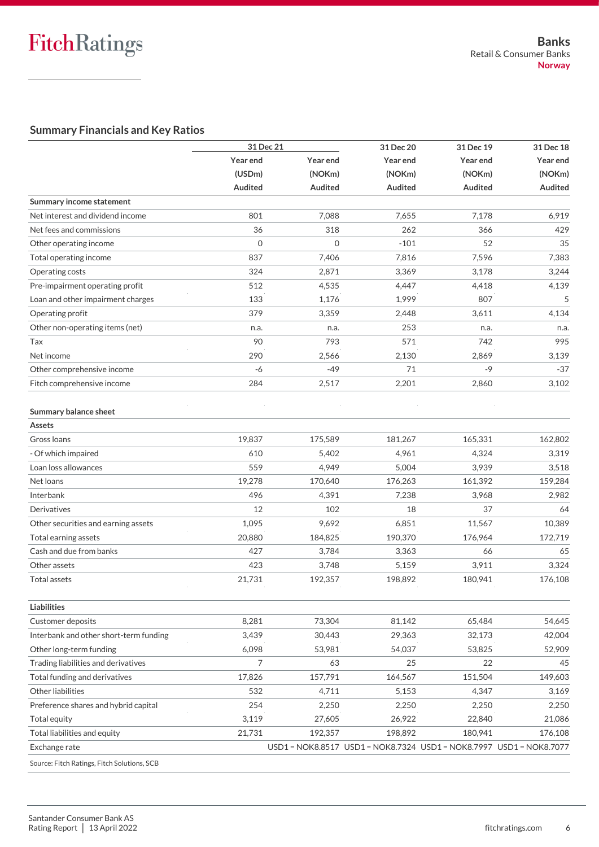# **Summary Financials and Key Ratios**

|                                             | 31 Dec 21      |              | 31 Dec 20                                                           | 31 Dec 19 | 31 Dec 18 |  |
|---------------------------------------------|----------------|--------------|---------------------------------------------------------------------|-----------|-----------|--|
|                                             | Year end       | Year end     | Year end                                                            | Year end  | Year end  |  |
|                                             | (USDm)         | (NOKm)       | (NOKm)                                                              | (NOKm)    | (NOKm)    |  |
|                                             | <b>Audited</b> | Audited      | Audited                                                             | Audited   | Audited   |  |
| Summary income statement                    |                |              |                                                                     |           |           |  |
| Net interest and dividend income            | 801            | 7,088        | 7,655                                                               | 7,178     | 6,919     |  |
| Net fees and commissions                    | 36             | 318          | 262                                                                 | 366       | 429       |  |
| Other operating income                      | $\mathbf{O}$   | $\mathbf{O}$ | $-101$                                                              | 52        | 35        |  |
| Total operating income                      | 837            | 7,406        | 7,816                                                               | 7,596     | 7,383     |  |
| Operating costs                             | 324            | 2,871        | 3,369                                                               | 3,178     | 3,244     |  |
| Pre-impairment operating profit             | 512            | 4,535        | 4,447                                                               | 4,418     | 4,139     |  |
| Loan and other impairment charges           | 133            | 1,176        | 1,999                                                               | 807       | 5         |  |
| Operating profit                            | 379            | 3,359        | 2,448                                                               | 3,611     | 4,134     |  |
| Other non-operating items (net)             | n.a.           | n.a.         | 253                                                                 | n.a.      | n.a.      |  |
| Tax                                         | 90             | 793          | 571                                                                 | 742       | 995       |  |
| Net income                                  | 290            | 2,566        | 2,130                                                               | 2,869     | 3,139     |  |
| Other comprehensive income                  | -6             | $-49$        | 71                                                                  | $-9$      | $-37$     |  |
| Fitch comprehensive income                  | 284            | 2,517        | 2,201                                                               | 2,860     | 3,102     |  |
| Summary balance sheet                       |                |              |                                                                     |           |           |  |
| <b>Assets</b>                               |                |              |                                                                     |           |           |  |
| Gross Ioans                                 | 19,837         | 175,589      | 181,267                                                             | 165,331   | 162,802   |  |
| - Of which impaired                         | 610            | 5,402        | 4,961                                                               | 4,324     | 3,319     |  |
| Loan loss allowances                        | 559            | 4,949        | 5,004                                                               | 3,939     | 3,518     |  |
| Net loans                                   | 19,278         | 170,640      | 176,263                                                             | 161,392   | 159,284   |  |
| Interbank                                   | 496            | 4,391        | 7,238                                                               | 3,968     | 2,982     |  |
| Derivatives                                 | 12             | 102          | 18                                                                  | 37        | 64        |  |
| Other securities and earning assets         | 1,095          | 9,692        | 6,851                                                               | 11,567    | 10,389    |  |
| Total earning assets                        | 20,880         | 184,825      | 190,370                                                             | 176,964   | 172,719   |  |
| Cash and due from banks                     | 427            | 3,784        | 3,363                                                               | 66        | 65        |  |
| Other assets                                | 423            | 3,748        | 5,159                                                               | 3,911     | 3,324     |  |
| <b>Total assets</b>                         | 21,731         | 192,357      | 198,892                                                             | 180,941   | 176,108   |  |
| <b>Liabilities</b>                          |                |              |                                                                     |           |           |  |
| <b>Customer deposits</b>                    | 8,281          | 73,304       | 81,142                                                              | 65,484    | 54,645    |  |
| Interbank and other short-term funding      | 3,439          | 30,443       | 29,363                                                              | 32,173    | 42,004    |  |
| Other long-term funding                     | 6,098          | 53,981       | 54,037                                                              | 53,825    | 52,909    |  |
| Trading liabilities and derivatives         | 7              | 63           | 25                                                                  | 22        | 45        |  |
| Total funding and derivatives               | 17,826         | 157,791      | 164,567                                                             | 151,504   | 149,603   |  |
| Other liabilities                           | 532            | 4,711        | 5,153                                                               | 4,347     | 3,169     |  |
| Preference shares and hybrid capital        | 254            | 2,250        | 2,250                                                               | 2,250     | 2,250     |  |
| Total equity                                | 3,119          | 27,605       | 26,922                                                              | 22,840    | 21,086    |  |
| Total liabilities and equity                | 21,731         | 192,357      | 198,892                                                             | 180,941   | 176,108   |  |
| Exchange rate                               |                |              | USD1 = NOK8.8517 USD1 = NOK8.7324 USD1 = NOK8.7997 USD1 = NOK8.7077 |           |           |  |
| Source: Fitch Ratings, Fitch Solutions, SCB |                |              |                                                                     |           |           |  |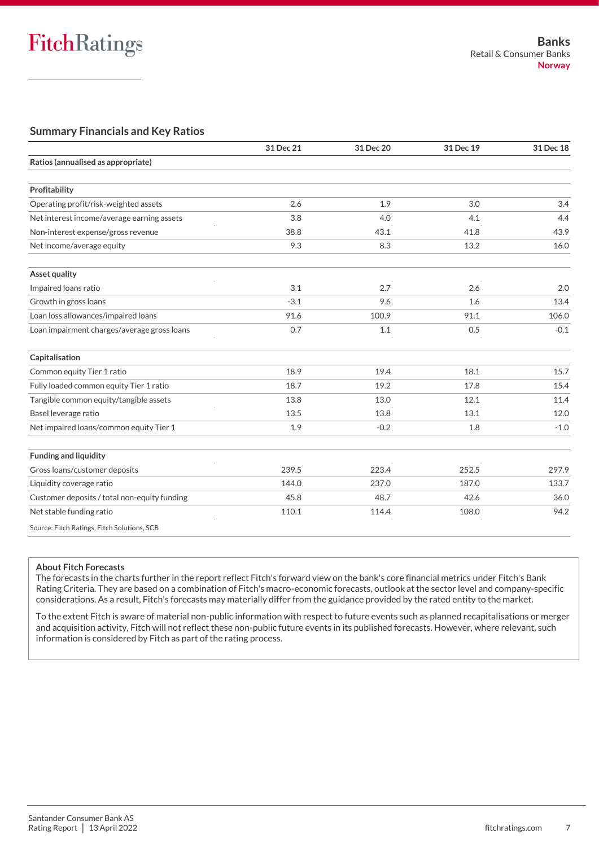# **Summary Financials and Key Ratios**

|                                              | 31 Dec 21 | 31 Dec 20 | 31 Dec 19 | 31 Dec 18 |
|----------------------------------------------|-----------|-----------|-----------|-----------|
| Ratios (annualised as appropriate)           |           |           |           |           |
|                                              |           |           |           |           |
| Profitability                                |           |           |           |           |
| Operating profit/risk-weighted assets        | 2.6       | 1.9       | 3.0       | 3.4       |
| Net interest income/average earning assets   | 3.8       | 4.0       | 4.1       | 4.4       |
| Non-interest expense/gross revenue           | 38.8      | 43.1      | 41.8      | 43.9      |
| Net income/average equity                    | 9.3       | 8.3       | 13.2      | 16.0      |
| Asset quality                                |           |           |           |           |
| Impaired loans ratio                         | 3.1       | 2.7       | 2.6       | 2.0       |
| Growth in gross loans                        | $-3.1$    | 9.6       | 1.6       | 13.4      |
| Loan loss allowances/impaired loans          | 91.6      | 100.9     | 91.1      | 106.0     |
| Loan impairment charges/average gross loans  | 0.7       | 1.1       | 0.5       | $-0.1$    |
| Capitalisation                               |           |           |           |           |
| Common equity Tier 1 ratio                   | 18.9      | 19.4      | 18.1      | 15.7      |
| Fully loaded common equity Tier 1 ratio      | 18.7      | 19.2      | 17.8      | 15.4      |
| Tangible common equity/tangible assets       | 13.8      | 13.0      | 12.1      | 11.4      |
| Basel leverage ratio                         | 13.5      | 13.8      | 13.1      | 12.0      |
| Net impaired loans/common equity Tier 1      | 1.9       | $-0.2$    | 1.8       | $-1.0$    |
| <b>Funding and liquidity</b>                 |           |           |           |           |
| Gross loans/customer deposits                | 239.5     | 223.4     | 252.5     | 297.9     |
| Liquidity coverage ratio                     | 144.0     | 237.0     | 187.0     | 133.7     |
| Customer deposits / total non-equity funding | 45.8      | 48.7      | 42.6      | 36.0      |
| Net stable funding ratio                     | 110.1     | 114.4     | 108.0     | 94.2      |
| Source: Fitch Ratings, Fitch Solutions, SCB  |           |           |           |           |

### **About Fitch Forecasts**

The forecasts in the charts further in the report reflect Fitch's forward view on the bank's core financial metrics under Fitch's Bank Rating Criteria. They are based on a combination of Fitch's macro-economic forecasts, outlook at the sector level and company-specific considerations. As a result, Fitch's forecasts may materially differ from the guidance provided by the rated entity to the market.

To the extent Fitch is aware of material non-public information with respect to future events such as planned recapitalisations or merger and acquisition activity, Fitch will not reflect these non-public future events in its published forecasts. However, where relevant, such information is considered by Fitch as part of the rating process.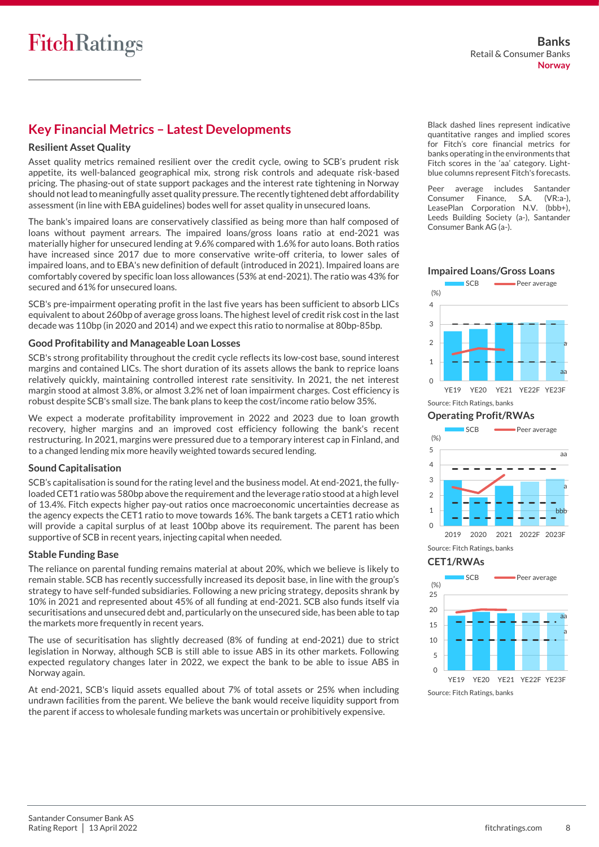# **Key Financial Metrics – Latest Developments**

# **Resilient Asset Quality**

Asset quality metrics remained resilient over the credit cycle, owing to SCB's prudent risk appetite, its well-balanced geographical mix, strong risk controls and adequate risk-based pricing. The phasing-out of state support packages and the interest rate tightening in Norway should not lead to meaningfully asset quality pressure. The recently tightened debt affordability assessment (in line with EBA guidelines) bodes well for asset quality in unsecured loans.

The bank's impaired loans are conservatively classified as being more than half composed of loans without payment arrears. The impaired loans/gross loans ratio at end-2021 was materially higher for unsecured lending at 9.6% compared with 1.6% for auto loans. Both ratios have increased since 2017 due to more conservative write-off criteria, to lower sales of impaired loans, and to EBA's new definition of default (introduced in 2021). Impaired loans are comfortably covered by specific loan loss allowances (53% at end-2021). The ratio was 43% for secured and 61% for unsecured loans.

SCB's pre-impairment operating profit in the last five years has been sufficient to absorb LICs equivalent to about 260bp of average gross loans. The highest level of credit risk cost in the last decade was 110bp (in 2020 and 2014) and we expect this ratio to normalise at 80bp-85bp.

## **Good Profitability and Manageable Loan Losses**

SCB's strong profitability throughout the credit cycle reflects its low-cost base, sound interest margins and contained LICs. The short duration of its assets allows the bank to reprice loans relatively quickly, maintaining controlled interest rate sensitivity. In 2021, the net interest margin stood at almost 3.8%, or almost 3.2% net of loan impairment charges. Cost efficiency is robust despite SCB's small size. The bank plans to keep the cost/income ratio below 35%.

We expect a moderate profitability improvement in 2022 and 2023 due to loan growth recovery, higher margins and an improved cost efficiency following the bank's recent restructuring. In 2021, margins were pressured due to a temporary interest cap in Finland, and to a changed lending mix more heavily weighted towards secured lending.

## **Sound Capitalisation**

SCB's capitalisation is sound for the rating level and the business model. At end-2021, the fullyloaded CET1 ratio was 580bp above the requirement and the leverage ratio stood at a high level of 13.4%. Fitch expects higher pay-out ratios once macroeconomic uncertainties decrease as the agency expects the CET1 ratio to move towards 16%. The bank targets a CET1 ratio which will provide a capital surplus of at least 100bp above its requirement. The parent has been supportive of SCB in recent years, injecting capital when needed.

## **Stable Funding Base**

The reliance on parental funding remains material at about 20%, which we believe is likely to remain stable. SCB has recently successfully increased its deposit base, in line with the group's strategy to have self-funded subsidiaries. Following a new pricing strategy, deposits shrank by 10% in 2021 and represented about 45% of all funding at end-2021. SCB also funds itself via securitisations and unsecured debt and, particularly on the unsecured side, has been able to tap the markets more frequently in recent years.

The use of securitisation has slightly decreased (8% of funding at end-2021) due to strict legislation in Norway, although SCB is still able to issue ABS in its other markets. Following expected regulatory changes later in 2022, we expect the bank to be able to issue ABS in Norway again.

At end-2021, SCB's liquid assets equalled about 7% of total assets or 25% when including undrawn facilities from the parent. We believe the bank would receive liquidity support from the parent if access to wholesale funding markets was uncertain or prohibitively expensive.

Black dashed lines represent indicative quantitative ranges and implied scores for Fitch's core financial metrics for banks operating in the environments that Fitch scores in the 'aa' category. Lightblue columns represent Fitch's forecasts.

Peer average includes Santander Consumer Finance, S.A. (VR:a-), LeasePlan Corporation N.V. (bbb+), Leeds Building Society (a-), Santander Consumer Bank AG (a-).



**Impaired Loans/Gross Loans**



YE19 YE20 YE21 YE22F YE23F Source: Fitch Ratings, banks

# **Operating Profit/RWAs**



**CET1/RWAs**

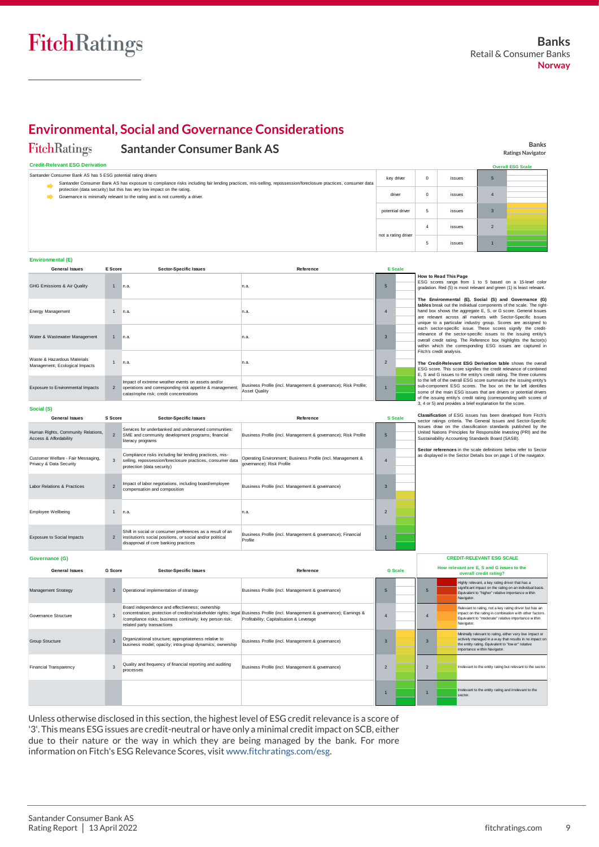**Banks Ratings Navigator**

**Overall ESG Scale**

# **Environmental, Social and Governance Considerations**

#### **FitchRatings Santander Consumer Bank AS**

#### **Credit-Relevant ESG Derivation**

| Santander Consumer Bank AS has 5 ESG potential rating drivers<br>Santander Consumer Bank AS has exposure to compliance risks including fair lending practices, mis-selling, repossession/foreclosure practices, consumer data<br>protection (data security) but this has very low impact on the rating.<br>Governance is minimally relevant to the rating and is not currently a driver. |                             |              |                               |           | key driver | $\circ$             | issues         | 5                                                                                                                                                       |                         |  |
|------------------------------------------------------------------------------------------------------------------------------------------------------------------------------------------------------------------------------------------------------------------------------------------------------------------------------------------------------------------------------------------|-----------------------------|--------------|-------------------------------|-----------|------------|---------------------|----------------|---------------------------------------------------------------------------------------------------------------------------------------------------------|-------------------------|--|
|                                                                                                                                                                                                                                                                                                                                                                                          |                             |              |                               |           | driver     | $\circ$             | issues         | $\overline{4}$                                                                                                                                          |                         |  |
|                                                                                                                                                                                                                                                                                                                                                                                          |                             |              |                               |           |            | potential driver    | 5              | issues                                                                                                                                                  | $\overline{\mathbf{3}}$ |  |
|                                                                                                                                                                                                                                                                                                                                                                                          |                             |              |                               |           |            | not a rating driver | $\overline{4}$ | issues                                                                                                                                                  | $\overline{2}$          |  |
|                                                                                                                                                                                                                                                                                                                                                                                          |                             |              |                               |           |            |                     | 5              | issues                                                                                                                                                  |                         |  |
| Environmental (E)                                                                                                                                                                                                                                                                                                                                                                        |                             |              |                               |           |            |                     |                |                                                                                                                                                         |                         |  |
|                                                                                                                                                                                                                                                                                                                                                                                          | <b>General Issues</b>       | E Score      | <b>Sector-Specific Issues</b> | Reference |            | <b>E</b> Scale      |                |                                                                                                                                                         |                         |  |
|                                                                                                                                                                                                                                                                                                                                                                                          | GHG Emissions & Air Quality | $\mathbf{1}$ | n.a.                          | n.a.      |            | 5                   |                | How to Read This Page<br>ESG scores range from 1 to 5 based on a 15-level color<br>gradation. Red (5) is most relevant and green (1) is least relevant. |                         |  |

| Environmental (E)                                             |                |                                                                                                                                                          |                                                                                         |               |                |                                                                                                                                                                                                                                                                                                                                               |  |  |  |
|---------------------------------------------------------------|----------------|----------------------------------------------------------------------------------------------------------------------------------------------------------|-----------------------------------------------------------------------------------------|---------------|----------------|-----------------------------------------------------------------------------------------------------------------------------------------------------------------------------------------------------------------------------------------------------------------------------------------------------------------------------------------------|--|--|--|
| <b>General Issues</b>                                         | E Score        | <b>Sector-Specific Issues</b>                                                                                                                            | Reference                                                                               |               | <b>E</b> Scale |                                                                                                                                                                                                                                                                                                                                               |  |  |  |
| GHG Emissions & Air Quality                                   | $\overline{1}$ | n.a.                                                                                                                                                     | n.a.                                                                                    |               |                | How to Read This Page<br>ESG scores range from 1 to 5 based on a 15-level color<br>gradation. Red (5) is most relevant and green (1) is least relevant.                                                                                                                                                                                       |  |  |  |
| Energy Management                                             |                | n.a.                                                                                                                                                     | n.a.                                                                                    |               |                | The Environmental (E), Social (S) and Governance (G)<br>tables break out the individual components of the scale. The right-<br>hand box shows the aggregate E, S, or G score. General Issues<br>are relevant across all markets with Sector-Specific Issues<br>unique to a particular industry group. Scores are assigned to                  |  |  |  |
| Water & Wastewater Management                                 | $\mathbf{1}$   | n.a.                                                                                                                                                     | n.a.                                                                                    |               |                | each sector-specific issue. These scores signify the credit-<br>relevance of the sector-specific issues to the issuing entity's<br>overall credit rating. The Reference box highlights the factor(s)<br>within which the corresponding ESG issues are captured in                                                                             |  |  |  |
| Waste & Hazardous Materials<br>Management; Ecological Impacts |                | n.a.                                                                                                                                                     | n.a.                                                                                    | $\mathcal{P}$ |                | Fitch's credit analysis.<br>The Credit-Relevant ESG Derivation table shows the overall<br>ESG score. This score signifies the credit relevance of combined<br>E, S and G issues to the entity's credit rating. The three columns                                                                                                              |  |  |  |
| Exposure to Environmental Impacts                             | $\mathcal{P}$  | Impact of extreme weather events on assets and/or<br>operations and corresponding risk appetite & management;<br>catastrophe risk; credit concentrations | Business Profile (incl. Management & governance); Risk Profile;<br><b>Asset Quality</b> |               |                | to the left of the overall ESG score summarize the issuing entity's<br>sub-component ESG scores. The box on the far left identifies<br>some of the main ESG issues that are drivers or potential drivers<br>of the issuing entity's credit rating (corresponding with scores of<br>3. 4 or 5) and provides a brief explanation for the score. |  |  |  |

|                                                               |                | catastrophe risk; credit concentrations                                                                                                                          | ASSEL QUAILY                                                                             |                          |                | some of the main ESG issues that are drivers or potential drivers<br>of the issuing entity's credit rating (corresponding with scores of                                               |
|---------------------------------------------------------------|----------------|------------------------------------------------------------------------------------------------------------------------------------------------------------------|------------------------------------------------------------------------------------------|--------------------------|----------------|----------------------------------------------------------------------------------------------------------------------------------------------------------------------------------------|
| Social (S)                                                    |                |                                                                                                                                                                  |                                                                                          |                          |                | 3, 4 or 5) and provides a brief explanation for the score.                                                                                                                             |
| <b>General Issues</b>                                         | S Score        | <b>Sector-Specific Issues</b>                                                                                                                                    | Reference                                                                                |                          | <b>S</b> Scale | Classification of ESG issues has been developed from Fitch's<br>sector ratings criteria. The General Issues and Sector-Specific                                                        |
| Human Rights, Community Relations,<br>Access & Affordability  | $\mathcal{P}$  | Services for underbanked and underserved communities:<br>SME and community development programs; financial<br>literacy programs                                  | Business Profile (incl. Management & governance); Risk Profile                           | $5\overline{5}$          |                | Issues draw on the classification standards published by the<br>United Nations Principles for Responsible Investing (PRI) and the<br>Sustainability Accounting Standards Board (SASB). |
| Customer Welfare - Fair Messaging,<br>Privacy & Data Security | 3              | Compliance risks including fair lending practices, mis-<br>selling, repossession/foreclosure practices, consumer data<br>protection (data security)              | Operating Environment; Business Profile (incl. Management &<br>governance): Risk Profile |                          |                | Sector references in the scale definitions below refer to Sector<br>as displayed in the Sector Details box on page 1 of the navigator.                                                 |
| Labor Relations & Practices                                   | $\mathcal{L}$  | Impact of labor negotiations, including board/employee<br>compensation and composition                                                                           | Business Profile (incl. Management & governance)                                         | $\mathbf{R}$             |                |                                                                                                                                                                                        |
| Employee Wellbeing                                            |                | n.a.                                                                                                                                                             | n.a.                                                                                     | $\overline{\phantom{0}}$ |                |                                                                                                                                                                                        |
| <b>Exposure to Social Impacts</b>                             | $\overline{2}$ | Shift in social or consumer preferences as a result of an<br>institution's social positions, or social and/or political<br>disapproval of core banking practices | Business Profile (incl. Management & governance); Financial<br>Profile                   |                          |                |                                                                                                                                                                                        |

#### **Governance (G)** 3 **G Score** 3 Board independence and effectiveness; ownership<br>concentration; protection of creditor/stakeholder rights; legal Business Profile (incl. Management & governance); Earnings &<br>/compliance risks; business continuity; key perso related party transactions Organizational structure; appropriateness relative to business model; opacity; intra-group dynamics; ownership Quality and frequency of financial reporting and auditing processes **General Issues** 3 3 Governance Structure Group Structure Financial Transparency relevant to the entity rating but relevant to the sect Significant tripact on the rating on an individual basis.<br>Mavigator: This proceed in a winding of very low impact or the entity and<br>New antition or impact or impact of the entity relative importance within<br>Tripact on the r Mnimally relevant to rating, either very low impact of actively managed in a way that results in no impact the entity rating. Equivalent to "lower" relative importance within Navigator. 2 **Sector-Specific Issues** anagement Strategy Operational implementation of strategy Irrelevant to the entity rating and irrelevant to the sector. **How relevant are E, S and G issues to the overall credit rating?** Highly relevant, a key rating driver that has a significant impact on the rating on an individual basis. DIT-RELEVANT ESG SCALE<br>vant are E, S and G issues to the<br>overall credit rating?<br>Highly relevant, a key rating diver that has a<br>significant impact on the rating on an individual b<br>Ravigator. Relevant to rating, not a key rating driver but has an vant are E, S and G issues to the<br>**High)** relavant, a key rating driver that has a<br>significant impact on the rating on an individual basis.<br>Equivalent to "higher" relative importance w ithin<br>thin charge on the rating in co **CREDIT-RELEVANT ESG SCALE G Scale** 1 5 4 3 **Reference** externalies<br>Business Profile (incl. Management & governance) Business Profile (incl. Management & governance) Business Profile (incl. Management & governance) 5 4 3 2 1

Unless otherwise disclosed in this section, the highest level of ESG credit relevance is a score of '3'. This means ESG issues are credit-neutral or have only a minimal credit impact on SCB, either due to their nature or the way in which they are being managed by the bank. For more information on Fitch's ESG Relevance Scores, visit [www.fitchratings.com/esg.](http://www.fitchratings.com/esg)